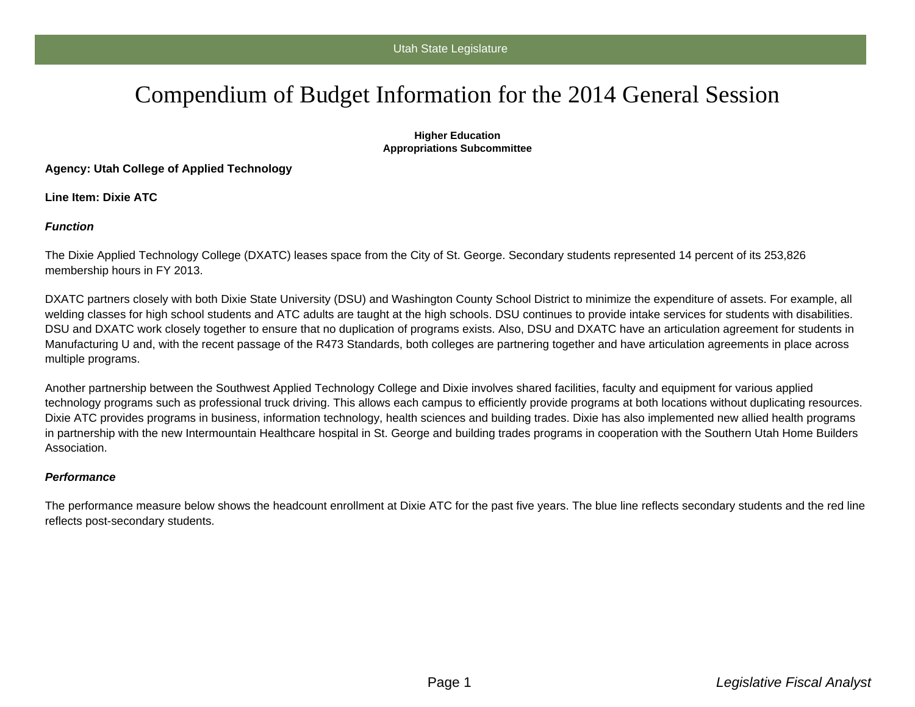# Compendium of Budget Information for the 2014 General Session

#### **Higher Education Appropriations Subcommittee**

**Agency: Utah College of Applied Technology**

**Line Item: Dixie ATC**

### **Function**

The Dixie Applied Technology College (DXATC) leases space from the City of St. George. Secondary students represented 14 percent of its 253,826 membership hours in FY 2013.

DXATC partners closely with both Dixie State University (DSU) and Washington County School District to minimize the expenditure of assets. For example, all welding classes for high school students and ATC adults are taught at the high schools. DSU continues to provide intake services for students with disabilities. DSU and DXATC work closely together to ensure that no duplication of programs exists. Also, DSU and DXATC have an articulation agreement for students in Manufacturing U and, with the recent passage of the R473 Standards, both colleges are partnering together and have articulation agreements in place across multiple programs.

Another partnership between the Southwest Applied Technology College and Dixie involves shared facilities, faculty and equipment for various applied technology programs such as professional truck driving. This allows each campus to efficiently provide programs at both locations without duplicating resources. Dixie ATC provides programs in business, information technology, health sciences and building trades. Dixie has also implemented new allied health programs in partnership with the new Intermountain Healthcare hospital in St. George and building trades programs in cooperation with the Southern Utah Home Builders Association.

#### **Performance**

The performance measure below shows the headcount enrollment at Dixie ATC for the past five years. The blue line reflects secondary students and the red line reflects post-secondary students.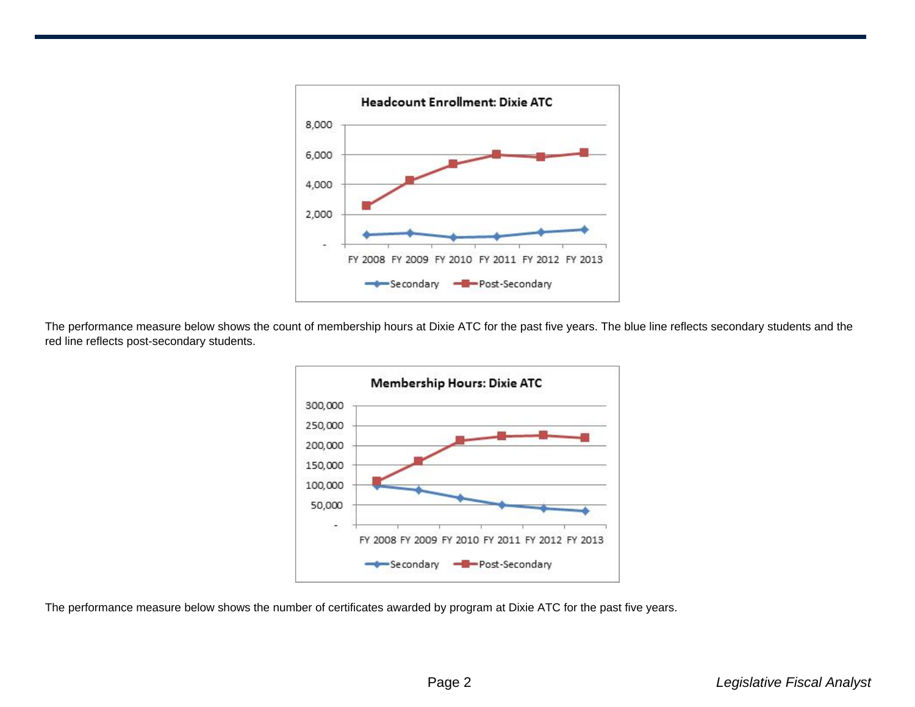

The performance measure below shows the count of membership hours at Dixie ATC for the past five years. The blue line reflects secondary students and the red line reflects post-secondary students.



The performance measure below shows the number of certificates awarded by program at Dixie ATC for the past five years.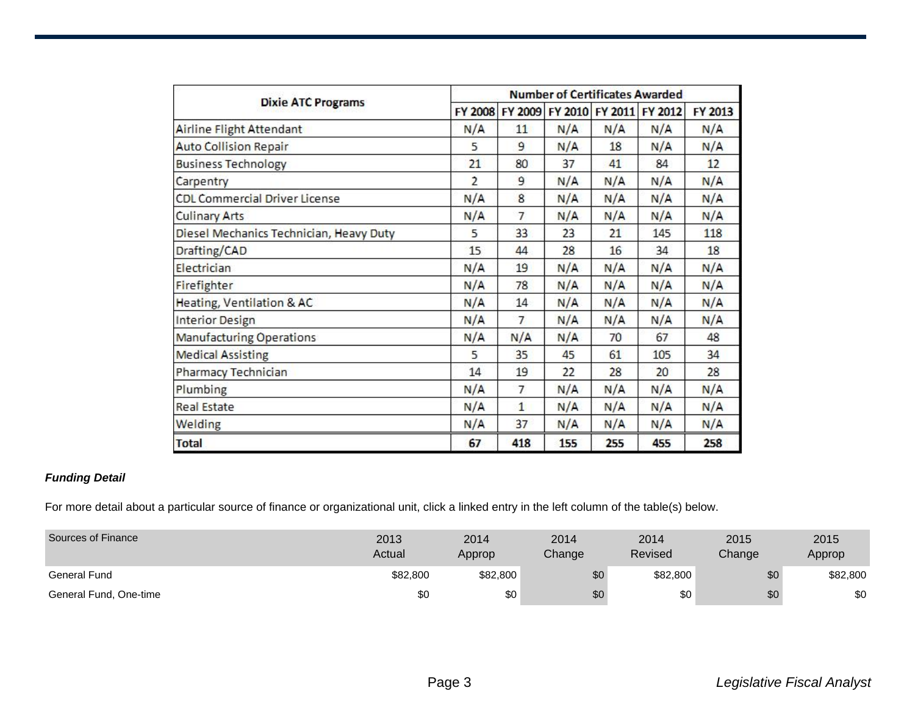| <b>Dixie ATC Programs</b>               | <b>Number of Certificates Awarded</b> |                |                                         |     |                 |         |  |  |
|-----------------------------------------|---------------------------------------|----------------|-----------------------------------------|-----|-----------------|---------|--|--|
|                                         |                                       |                | FY 2008 FY 2009 FY 2010 FY 2011 FY 2012 |     |                 | FY 2013 |  |  |
| Airline Flight Attendant                | N/A                                   | 11             | N/A                                     | N/A | N/A             | N/A     |  |  |
| <b>Auto Collision Repair</b>            | 5                                     | $\overline{9}$ | N/A                                     | 18  | N/A             | N/A     |  |  |
| <b>Business Technology</b>              | 21                                    | 80             | 37                                      | 41  | 84              | 12      |  |  |
| Carpentry                               | $\overline{2}$                        | 9              | N/A                                     | N/A | N/A             | N/A     |  |  |
| <b>CDL Commercial Driver License</b>    | N/A                                   | 8              | N/A                                     | N/A | N/A             | N/A     |  |  |
| <b>Culinary Arts</b>                    | N/A                                   | $\overline{7}$ | N/A                                     | N/A | N/A             | N/A     |  |  |
| Diesel Mechanics Technician, Heavy Duty | 5                                     | 33             | 23                                      | 21  | 145             | 118     |  |  |
| Drafting/CAD                            | 15                                    | 44             | 28                                      | 16  | 34              | 18      |  |  |
| Electrician                             | N/A                                   | 19             | N/A                                     | N/A | N/A             | N/A     |  |  |
| Firefighter                             | N/A                                   | 78             | N/A                                     | N/A | N/A             | N/A     |  |  |
| Heating, Ventilation & AC               | N/A                                   | 14             | N/A                                     | N/A | N/A             | N/A     |  |  |
| Interior Design                         | N/A                                   | $\overline{7}$ | N/A                                     | N/A | N/A             | N/A     |  |  |
| <b>Manufacturing Operations</b>         | N/A                                   | N/A            | N/A                                     | 70  | 67              | 48      |  |  |
| <b>Medical Assisting</b>                | 5                                     | 35             | 45                                      | 61  | 105             | 34      |  |  |
| Pharmacy Technician                     | 14                                    | 19             | 22                                      | 28  | 20 <sub>2</sub> | 28      |  |  |
| Plumbing                                | N/A                                   | $\overline{7}$ | N/A                                     | N/A | N/A             | N/A     |  |  |
| <b>Real Estate</b>                      | N/A                                   | $\mathbf{1}$   | N/A                                     | N/A | N/A             | N/A     |  |  |
| Welding                                 | N/A                                   | 37             | N/A                                     | N/A | N/A             | N/A     |  |  |
| <b>Total</b>                            | 67                                    | 418            | 155                                     | 255 | 455             | 258     |  |  |

## **Funding Detail**

For more detail about a particular source of finance or organizational unit, click a linked entry in the left column of the table(s) below.

| Sources of Finance     | 2013<br>Actual | 2014<br>Approp | 2014<br>Change | 2014<br>Revised | 2015<br>Change | 2015<br>Approp |
|------------------------|----------------|----------------|----------------|-----------------|----------------|----------------|
| General Fund           | \$82,800       | \$82,800       | \$0            | \$82,800        | \$0            | \$82,800       |
| General Fund, One-time | \$0            | \$0            | \$0            | \$0             | \$0            | \$0            |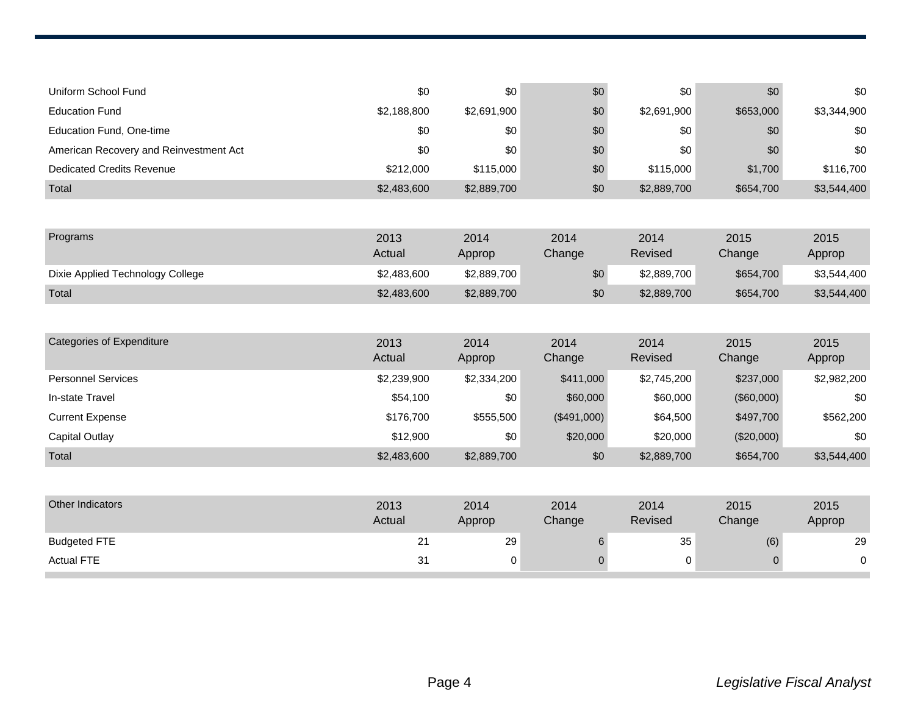| Uniform School Fund                    | \$0            | \$0            | \$0            | \$0             | \$0            | \$0            |
|----------------------------------------|----------------|----------------|----------------|-----------------|----------------|----------------|
| <b>Education Fund</b>                  | \$2,188,800    | \$2,691,900    | \$0            | \$2,691,900     | \$653,000      | \$3,344,900    |
| Education Fund, One-time               | \$0            | \$0            | \$0            | \$0             | \$0            | \$0            |
| American Recovery and Reinvestment Act | \$0            | \$0            | \$0            | \$0             | \$0            | \$0            |
| <b>Dedicated Credits Revenue</b>       | \$212,000      | \$115,000      | \$0            | \$115,000       | \$1,700        | \$116,700      |
| Total                                  | \$2,483,600    | \$2,889,700    | \$0            | \$2,889,700     | \$654,700      | \$3,544,400    |
|                                        |                |                |                |                 |                |                |
| Programs                               | 2013<br>Actual | 2014<br>Approp | 2014<br>Change | 2014<br>Revised | 2015<br>Change | 2015<br>Approp |
| Dixie Applied Technology College       | \$2,483,600    | \$2,889,700    | \$0            | \$2,889,700     | \$654,700      | \$3,544,400    |
| Total                                  | \$2,483,600    | \$2,889,700    | \$0            | \$2,889,700     | \$654,700      | \$3,544,400    |
|                                        |                |                |                |                 |                |                |
| <b>Categories of Expenditure</b>       | 2013<br>Actual | 2014<br>Approp | 2014<br>Change | 2014<br>Revised | 2015<br>Change | 2015<br>Approp |
| <b>Personnel Services</b>              | \$2,239,900    | \$2,334,200    | \$411,000      | \$2,745,200     | \$237,000      | \$2,982,200    |
| In-state Travel                        | \$54,100       | \$0            | \$60,000       | \$60,000        | (\$60,000)     | \$0            |
| <b>Current Expense</b>                 | \$176,700      | \$555,500      | (\$491,000)    | \$64,500        | \$497,700      | \$562,200      |
| <b>Capital Outlay</b>                  | \$12,900       | \$0            | \$20,000       | \$20,000        | (\$20,000)     | \$0            |
| Total                                  | \$2,483,600    | \$2,889,700    | \$0            | \$2,889,700     | \$654,700      | \$3,544,400    |
|                                        |                |                |                |                 |                |                |
| Other Indicators                       | 2013<br>Actual | 2014<br>Approp | 2014<br>Change | 2014<br>Revised | 2015<br>Change | 2015<br>Approp |

Budgeted FTE 21 29 6 35 (6) 29 Actual FTE 31 0 0 0 0 0

 $\sim$